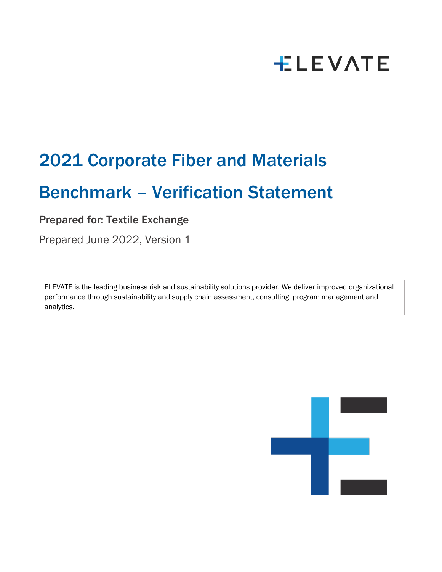# **ELEVATE**

## 2021 Corporate Fiber and Materials

### Benchmark – Verification Statement

### Prepared for: Textile Exchange

Prepared June 2022, Version 1

ELEVATE is the leading business risk and sustainability solutions provider. We deliver improved organizational performance through sustainability and supply chain assessment, consulting, program management and analytics.

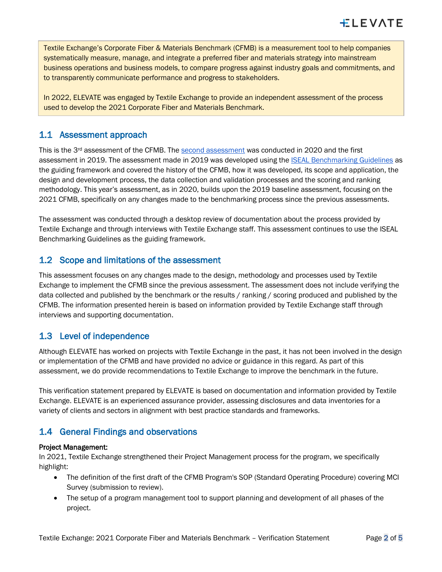Textile Exchange's Corporate Fiber & Materials Benchmark (CFMB) is a measurement tool to help companies systematically measure, manage, and integrate a preferred fiber and materials strategy into mainstream business operations and business models, to compare progress against industry goals and commitments, and to transparently communicate performance and progress to stakeholders.

In 2022, ELEVATE was engaged by Textile Exchange to provide an independent assessment of the process used to develop the 2021 Corporate Fiber and Materials Benchmark.

#### 1.1 Assessment approach

This is the  $3<sup>rd</sup>$  [assessment](https://textileexchange.org/wp-content/uploads/2020/01/Corporate-Fiber-and-Materials-Benchmark-Verification-Statement.pdf) of the CFMB. The second assessment was conducted in 2020 and the first assessment in 2019. The assessment made in 2019 was developed using the [ISEAL Benchmarking Guidelines](https://www.isealalliance.org/sites/default/files/resource/2019-07/ISEAL_SustainabilityBenchmarkingGoodPracticeGuide2019_V6.pdf) as the guiding framework and covered the history of the CFMB, how it was developed, its scope and application, the design and development process, the data collection and validation processes and the scoring and ranking methodology. This year's assessment, as in 2020, builds upon the 2019 baseline assessment, focusing on the 2021 CFMB, specifically on any changes made to the benchmarking process since the previous assessments.

The assessment was conducted through a desktop review of documentation about the process provided by Textile Exchange and through interviews with Textile Exchange staff. This assessment continues to use the ISEAL Benchmarking Guidelines as the guiding framework.

#### 1.2 Scope and limitations of the assessment

This assessment focuses on any changes made to the design, methodology and processes used by Textile Exchange to implement the CFMB since the previous assessment. The assessment does not include verifying the data collected and published by the benchmark or the results / ranking / scoring produced and published by the CFMB. The information presented herein is based on information provided by Textile Exchange staff through interviews and supporting documentation.

#### 1.3 Level of independence

Although ELEVATE has worked on projects with Textile Exchange in the past, it has not been involved in the design or implementation of the CFMB and have provided no advice or guidance in this regard. As part of this assessment, we do provide recommendations to Textile Exchange to improve the benchmark in the future.

This verification statement prepared by ELEVATE is based on documentation and information provided by Textile Exchange. ELEVATE is an experienced assurance provider, assessing disclosures and data inventories for a variety of clients and sectors in alignment with best practice standards and frameworks.

#### 1.4 General Findings and observations

#### Project Management:

In 2021, Textile Exchange strengthened their Project Management process for the program, we specifically highlight:

- The definition of the first draft of the CFMB Program's SOP (Standard Operating Procedure) covering MCI Survey (submission to review).
- The setup of a program management tool to support planning and development of all phases of the project.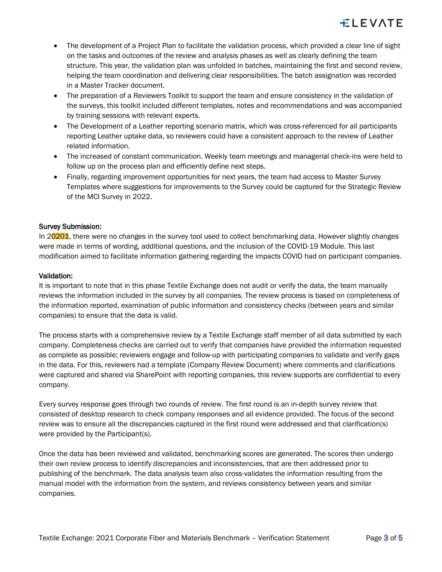- The development of a Project Plan to facilitate the validation process, which provided a clear line of sight on the tasks and outcomes of the review and analysis phases as well as clearly defining the team structure. This year, the validation plan was unfolded in batches, maintaining the first and second review, helping the team coordination and delivering clear responsibilities. The batch assignation was recorded in a Master Tracker document.
- The preparation of a Reviewers Toolkit to support the team and ensure consistency in the validation of the surveys, this toolkit included different templates, notes and recommendations and was accompanied by training sessions with relevant experts.
- The Development of a Leather reporting scenario matrix, which was cross-referenced for all participants reporting Leather uptake data, so reviewers could have a consistent approach to the review of Leather related information.
- The increased of constant communication. Weekly team meetings and managerial check-ins were held to follow up on the process plan and efficiently define next steps.
- Finally, regarding improvement opportunities for next years, the team had access to Master Survey Templates where suggestions for improvements to the Survey could be captured for the Strategic Review of the MCI Survey in 2022.

#### Survey Submission:

In 20201, there were no changes in the survey tool used to collect benchmarking data. However slightly changes were made in terms of wording, additional questions, and the inclusion of the COVID-19 Module. This last modification aimed to facilitate information gathering regarding the impacts COVID had on participant companies.

#### Validation:

It is important to note that in this phase Textile Exchange does not audit or verify the data, the team manually reviews the information included in the survey by all companies. The review process is based on completeness of the information reported, examination of public information and consistency checks (between years and similar companies) to ensure that the data is valid.

The process starts with a comprehensive review by a Textile Exchange staff member of all data submitted by each company. Completeness checks are carried out to verify that companies have provided the information requested as complete as possible; reviewers engage and follow-up with participating companies to validate and verify gaps in the data. For this, reviewers had a template (Company Review Document) where comments and clarifications were captured and shared via SharePoint with reporting companies, this review supports are confidential to every company.

Every survey response goes through two rounds of review. The first round is an in-depth survey review that consisted of desktop research to check company responses and all evidence provided. The focus of the second review was to ensure all the discrepancies captured in the first round were addressed and that clarification(s) were provided by the Participant(s).

Once the data has been reviewed and validated, benchmarking scores are generated. The scores then undergo their own review process to identify discrepancies and inconsistencies, that are then addressed prior to publishing of the benchmark. The data analysis team also cross-validates the information resulting from the manual model with the information from the system, and reviews consistency between years and similar companies.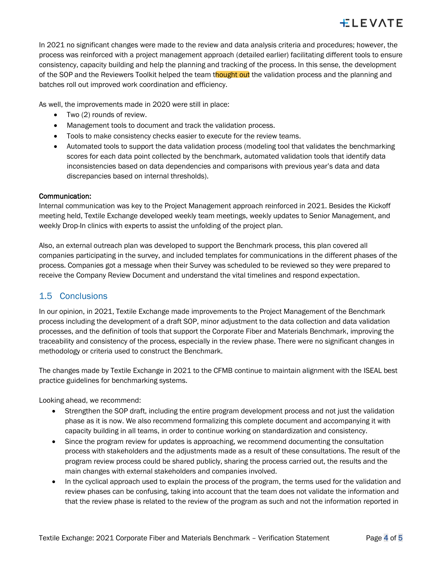In 2021 no significant changes were made to the review and data analysis criteria and procedures; however, the process was reinforced with a project management approach (detailed earlier) facilitating different tools to ensure consistency, capacity building and help the planning and tracking of the process. In this sense, the development of the SOP and the Reviewers Toolkit helped the team thought out the validation process and the planning and batches roll out improved work coordination and efficiency.

As well, the improvements made in 2020 were still in place:

- Two (2) rounds of review.
- Management tools to document and track the validation process.
- Tools to make consistency checks easier to execute for the review teams.
- Automated tools to support the data validation process (modeling tool that validates the benchmarking scores for each data point collected by the benchmark, automated validation tools that identify data inconsistencies based on data dependencies and comparisons with previous year's data and data discrepancies based on internal thresholds).

#### Communication:

Internal communication was key to the Project Management approach reinforced in 2021. Besides the Kickoff meeting held, Textile Exchange developed weekly team meetings, weekly updates to Senior Management, and weekly Drop-In clinics with experts to assist the unfolding of the project plan.

Also, an external outreach plan was developed to support the Benchmark process, this plan covered all companies participating in the survey, and included templates for communications in the different phases of the process. Companies got a message when their Survey was scheduled to be reviewed so they were prepared to receive the Company Review Document and understand the vital timelines and respond expectation.

#### 1.5 Conclusions

In our opinion, in 2021, Textile Exchange made improvements to the Project Management of the Benchmark process including the development of a draft SOP, minor adjustment to the data collection and data validation processes, and the definition of tools that support the Corporate Fiber and Materials Benchmark, improving the traceability and consistency of the process, especially in the review phase. There were no significant changes in methodology or criteria used to construct the Benchmark.

The changes made by Textile Exchange in 2021 to the CFMB continue to maintain alignment with the ISEAL best practice guidelines for benchmarking systems.

Looking ahead, we recommend:

- Strengthen the SOP draft, including the entire program development process and not just the validation phase as it is now. We also recommend formalizing this complete document and accompanying it with capacity building in all teams, in order to continue working on standardization and consistency.
- Since the program review for updates is approaching, we recommend documenting the consultation process with stakeholders and the adjustments made as a result of these consultations. The result of the program review process could be shared publicly, sharing the process carried out, the results and the main changes with external stakeholders and companies involved.
- In the cyclical approach used to explain the process of the program, the terms used for the validation and review phases can be confusing, taking into account that the team does not validate the information and that the review phase is related to the review of the program as such and not the information reported in